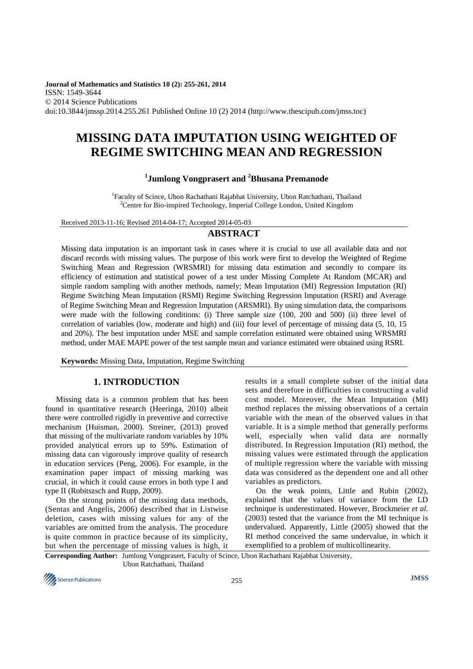**Journal of Mathematics and Statistics 10 (2): 255-261, 2014**  ISSN: 1549-3644 © 2014 Science Publications doi:10.3844/jmssp.2014.255.261 Published Online 10 (2) 2014 (http://www.thescipub.com/jmss.toc)

# **MISSING DATA IMPUTATION USING WEIGHTED OF REGIME SWITCHING MEAN AND REGRESSION**

# **1 Jumlong Vongprasert and <sup>2</sup>Bhusana Premanode**

<sup>1</sup>Faculty of Scince, Ubon Rachathani Rajabhat University, Ubon Ratchathani, Thailand <sup>2</sup>Centre for Bio-inspired Technology, Imperial College London, United Kingdom

Received 2013-11-16; Revised 2014-04-17; Accepted 2014-05-03

## **ABSTRACT**

Missing data imputation is an important task in cases where it is crucial to use all available data and not discard records with missing values. The purpose of this work were first to develop the Weighted of Regime Switching Mean and Regression (WRSMRI) for missing data estimation and secondly to compare its efficiency of estimation and statistical power of a test under Missing Complete At Random (MCAR) and simple random sampling with another methods, namely; Mean Imputation (MI) Regression Imputation (RI) Regime Switching Mean Imputation (RSMI) Regime Switching Regression Imputation (RSRI) and Average of Regime Switching Mean and Regression Imputation (ARSMRI). By using simulation data, the comparisons were made with the following conditions: (i) Three sample size (100, 200 and 500) (ii) three level of correlation of variables (low, moderate and high) and (iii) four level of percentage of missing data (5, 10, 15 and 20%). The best imputation under MSE and sample correlation estimated were obtained using WRSMRI method, under MAE MAPE power of the test sample mean and variance estimated were obtained using RSRI.

**Keywords:** Missing Data, Imputation, Regime Switching

## **1. INTRODUCTION**

Missing data is a common problem that has been found in quantitative research (Heeringa, 2010) albeit there were controlled rigidly in preventive and corrective mechanism (Huisman, 2000). Streiner, (2013) proved that missing of the multivariate random variables by 10% provided analytical errors up to 59%. Estimation of missing data can vigorously improve quality of research in education services (Peng, 2006). For example, in the examination paper impact of missing marking was crucial, in which it could cause errors in both type I and type II (Robitszsch and Rupp, 2009).

On the strong points of the missing data methods, (Sentas and Angelis, 2006) described that in Listwise deletion, cases with missing values for any of the variables are omitted from the analysis. The procedure is quite common in practice because of its simplicity, but when the percentage of missing values is high, it results in a small complete subset of the initial data sets and therefore in difficulties in constructing a valid cost model. Moreover, the Mean Imputation (MI) method replaces the missing observations of a certain variable with the mean of the observed values in that variable. It is a simple method that generally performs well, especially when valid data are normally distributed. In Regression Imputation (RI) method, the missing values were estimated through the application of multiple regression where the variable with missing data was considered as the dependent one and all other variables as predictors.

On the weak points, Little and Rubin (2002), explained that the values of variance from the LD technique is underestimated. However, Brockmeier *et al*. (2003) tested that the variance from the MI technique is undervalued. Apparently, Little (2005) showed that the RI method conceived the same undervalue, in which it exemplified to a problem of multicollinearity.

**Corresponding Author:** Jumlong Vongprasert, Faculty of Scince, Ubon Rachathani Rajabhat University, Ubon Ratchathani, Thailand

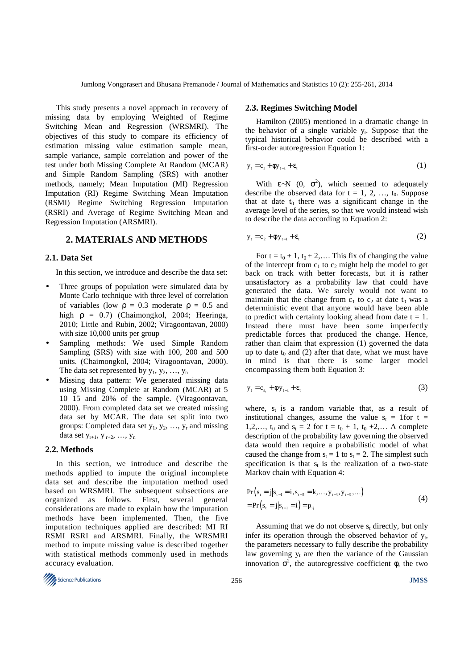This study presents a novel approach in recovery of missing data by employing Weighted of Regime Switching Mean and Regression (WRSMRI). The objectives of this study to compare its efficiency of estimation missing value estimation sample mean, sample variance, sample correlation and power of the test under both Missing Complete At Random (MCAR) and Simple Random Sampling (SRS) with another methods, namely; Mean Imputation (MI) Regression Imputation (RI) Regime Switching Mean Imputation (RSMI) Regime Switching Regression Imputation (RSRI) and Average of Regime Switching Mean and Regression Imputation (ARSMRI).

## **2. MATERIALS AND METHODS**

#### **2.1. Data Set**

In this section, we introduce and describe the data set:

- Three groups of population were simulated data by Monte Carlo technique with three level of correlation of variables (low  $\rho = 0.3$  moderate  $\rho = 0.5$  and high ρ = 0.7) (Chaimongkol, 2004; Heeringa, 2010; Little and Rubin, 2002; Viragoontavan, 2000) with size 10,000 units per group
- Sampling methods: We used Simple Random Sampling (SRS) with size with 100, 200 and 500 units. (Chaimongkol, 2004; Viragoontavan, 2000). The data set represented by  $y_1, y_2, ..., y_n$
- Missing data pattern: We generated missing data using Missing Complete at Random (MCAR) at 5 10 15 and 20% of the sample. (Viragoontavan, 2000). From completed data set we created missing data set by MCAR. The data set split into two groups: Completed data set  $y_1, y_2, ..., y_r$  and missing data set  $y_{r+1}, y_{r+2}, ..., y_n$

#### **2.2. Methods**

In this section, we introduce and describe the methods applied to impute the original incomplete data set and describe the imputation method used based on WRSMRI. The subsequent subsections are organized as follows. First, several general considerations are made to explain how the imputation methods have been implemented. Then, the five imputation techniques applied are described: MI RI RSMI RSRI and ARSMRI. Finally, the WRSMRI method to impute missing value is described together with statistical methods commonly used in methods accuracy evaluation.



#### **2.3. Regimes Switching Model**

Hamilton (2005) mentioned in a dramatic change in the behavior of a single variable  $y_t$ . Suppose that the typical historical behavior could be described with a first-order autoregression Equation 1:

$$
y_t = c_1 + \phi y_{t-1} + \varepsilon_t \tag{1}
$$

With  $\varepsilon$ ~N (0,  $\sigma^2$ ), which seemed to adequately describe the observed data for  $t = 1, 2, ..., t_0$ . Suppose that at date  $t_0$  there was a significant change in the average level of the series, so that we would instead wish to describe the data according to Equation 2:

$$
y_t = c_2 + \phi y_{t-1} + \varepsilon_t \tag{2}
$$

For  $t = t_0 + 1$ ,  $t_0 + 2,...$  This fix of changing the value of the intercept from  $c_1$  to  $c_2$  might help the model to get back on track with better forecasts, but it is rather unsatisfactory as a probability law that could have generated the data. We surely would not want to maintain that the change from  $c_1$  to  $c_2$  at date  $t_0$  was a deterministic event that anyone would have been able to predict with certainty looking ahead from date  $t = 1$ . Instead there must have been some imperfectly predictable forces that produced the change. Hence, rather than claim that expression (1) governed the data up to date  $t_0$  and (2) after that date, what we must have in mind is that there is some larger model encompassing them both Equation 3:

$$
y_t = c_{s_t} + \phi y_{t-1} + \varepsilon_t \tag{3}
$$

where,  $s_t$  is a random variable that, as a result of institutional changes, assume the value  $s_t = 1$  for  $t =$ 1,2,...,  $t_0$  and  $s_t = 2$  for  $t = t_0 + 1$ ,  $t_0 + 2$ ,... A complete description of the probability law governing the observed data would then require a probabilistic model of what caused the change from  $s_t = 1$  to  $s_t = 2$ . The simplest such specification is that  $s_t$  is the realization of a two-state Markov chain with Equation 4:

$$
\Pr(s_{t} = j|s_{t-1} = i, s_{t-2} = k,..., y_{t-1}, y_{t-2},...)
$$
  
= 
$$
\Pr(s_{t} = j|s_{t-1} = i) = p_{ij}
$$
 (4)

Assuming that we do not observe  $s_t$  directly, but only infer its operation through the observed behavior of  $y_t$ , the parameters necessary to fully describe the probability law governing  $y_t$  are then the variance of the Gaussian innovation  $\sigma^2$ , the autoregressive coefficient  $\phi$ , the two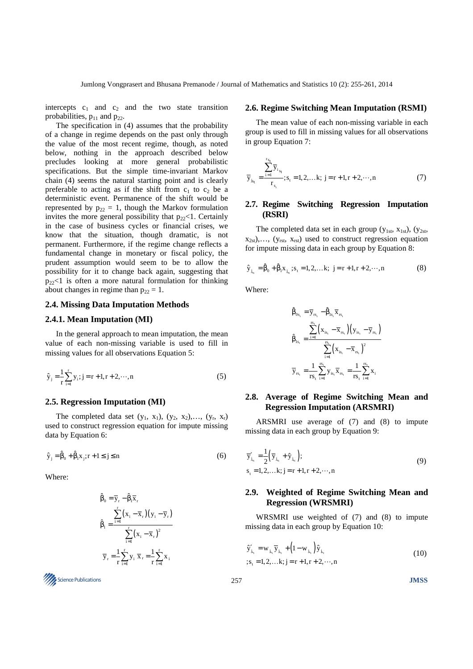intercepts  $c_1$  and  $c_2$  and the two state transition probabilities,  $p_{11}$  and  $p_{22}$ .

The specification in (4) assumes that the probability of a change in regime depends on the past only through the value of the most recent regime, though, as noted below, nothing in the approach described below precludes looking at more general probabilistic specifications. But the simple time-invariant Markov chain (4) seems the natural starting point and is clearly preferable to acting as if the shift from  $c_1$  to  $c_2$  be a deterministic event. Permanence of the shift would be represented by  $p_{22} = 1$ , though the Markov formulation invites the more general possibility that  $p_{22}$ <1. Certainly in the case of business cycles or financial crises, we know that the situation, though dramatic, is not permanent. Furthermore, if the regime change reflects a fundamental change in monetary or fiscal policy, the prudent assumption would seem to be to allow the possibility for it to change back again, suggesting that  $p_{22}$ <1 is often a more natural formulation for thinking about changes in regime than  $p_{22} = 1$ .

### **2.4. Missing Data Imputation Methods**

## **2.4.1. Mean Imputation (MI)**

In the general approach to mean imputation, the mean value of each non-missing variable is used to fill in missing values for all observations Equation 5:

$$
\hat{y}_j = \frac{1}{r} \sum_{i=1}^r y_i; j = r+1, r+2, \dots, n
$$
\n(5)

### **2.5. Regression Imputation (MI)**

The completed data set  $(y_1, x_1)$ ,  $(y_2, x_2)$ ,...,  $(y_r, x_r)$ used to construct regression equation for impute missing data by Equation 6:

 $\hat{y}_j = \hat{\beta}_0 + \hat{\beta}_1 x_j; r + 1 \le j \le n$  (6)

Where:

$$
\hat{\beta}_0 = \overline{y}_r - \hat{\beta}_1 \overline{x}_r
$$
\n
$$
\hat{\beta}_1 = \frac{\sum_{i=1}^r (x_i - \overline{x}_r)(y_i - \overline{y}_r)}{\sum_{i=1}^r (x_i - \overline{x}_r)^2}
$$
\n
$$
\overline{y}_r = \frac{1}{r} \sum_{i=1}^r y_i \overline{x}_r = \frac{1}{r} \sum_{i=1}^r x_i
$$

# Science Publications 257 **JMSS**

#### **2.6. Regime Switching Mean Imputation (RSMI)**

The mean value of each non-missing variable in each group is used to fill in missing values for all observations in group Equation 7:

$$
\overline{y}_{j_{s_t}} = \frac{\sum_{i=1}^{r_{s_t}} \overline{y}_{i_{s_t}}}{r_{s_t}}; s_t = 1, 2, \dots k; j = r + 1, r + 2, \dots, n
$$
\n(7)

## **2.7. Regime Switching Regression Imputation (RSRI)**

The completed data set in each group ( $y_{1st}$ ,  $x_{1st}$ ), ( $y_{2st}$ ,  $x_{2st})$ ,..., ( $y_{rst}$ ,  $x_{rst}$ ) used to construct regression equation for impute missing data in each group by Equation 8:

$$
\hat{y}_{j_{s_t}} = \hat{\beta}_0 + \hat{\beta}_1 x_{j_{s_t}}; s_t = 1, 2, \dots k; \ j = r + 1, r + 2, \dots, n
$$
 (8)

Where:

$$
\begin{aligned} \boldsymbol{\hat{\beta}}_{0s_t} &= \overline{\mathbf{y}}_{rs_t} - \boldsymbol{\hat{\beta}}_{ls_t}\overline{\mathbf{x}}_{rs_t} \\ \boldsymbol{\hat{\beta}}_{ls_t} &= \frac{\sum\limits_{i=1}^{s_t}\Bigl(\mathbf{x}_{is_t} - \overline{\mathbf{x}}_{rs_t}\Bigr)\Bigl(\mathbf{y}_{is_t} - \overline{\mathbf{y}}_{rs_t}\Bigr)}{\sum\limits_{i=1}^{s_t}\Bigl(\mathbf{x}_{is_t} - \overline{\mathbf{x}}_{rs_t}\Bigr)^2} \\ \overline{\mathbf{y}}_{rs_t} &= \frac{1}{rs_t}\sum\limits_{i=1}^{rs_t}\mathbf{y}_{is_t}\overline{\mathbf{x}}_{rs_t} = \frac{1}{rs_t}\sum\limits_{i=1}^{rs_t}\mathbf{x}_i \end{aligned}
$$

## **2.8. Average of Regime Switching Mean and Regression Imputation (ARSMRI)**

ARSMRI use average of (7) and (8) to impute missing data in each group by Equation 9:

$$
\overline{y}'_{i_{x_i}} = \frac{1}{2} (\overline{y}_{i_{x_i}} + \hat{y}_{i_{x_i}});
$$
  
s<sub>t</sub> = 1, 2,...k; j = r + 1, r + 2,...,n (9)

## **2.9. Weighted of Regime Switching Mean and Regression (WRSMRI)**

WRSMRI use weighted of (7) and (8) to impute missing data in each group by Equation 10:

$$
\hat{\mathbf{y}}'_{j_{s_i}} = \mathbf{w}_{j_{s_i}} \overline{\mathbf{y}}_{j_{s_i}} + (1 - \mathbf{w}_{j_{s_i}}) \hat{\mathbf{y}}_{j_{s_i}}
$$
\n
$$
\vdots, \mathbf{s}_t = 1, 2, \dots, k; \mathbf{j} = \mathbf{r} + 1, \mathbf{r} + 2, \dots, \mathbf{n}
$$
\n(10)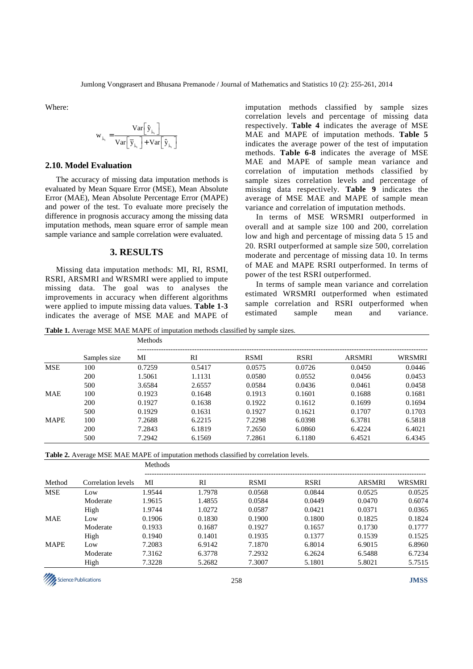Where:

$$
\mathbf{w}_{j_{s_t}} = \frac{\mathbf{Var}\left[\hat{\mathbf{y}}_{j_{s_t}}\right]}{\mathbf{Var}\left[\overline{\mathbf{y}}_{j_{s_t}}\right] + \mathbf{Var}\left[\hat{\mathbf{y}}_{j_{s_t}}\right]}
$$

## **2.10. Model Evaluation**

The accuracy of missing data imputation methods is evaluated by Mean Square Error (MSE), Mean Absolute Error (MAE), Mean Absolute Percentage Error (MAPE) and power of the test. To evaluate more precisely the difference in prognosis accuracy among the missing data imputation methods, mean square error of sample mean sample variance and sample correlation were evaluated.

## **3. RESULTS**

Missing data imputation methods: MI, RI, RSMI, RSRI, ARSMRI and WRSMRI were applied to impute missing data. The goal was to analyses the improvements in accuracy when different algorithms were applied to impute missing data values. **Table 1-3** indicates the average of MSE MAE and MAPE of imputation methods classified by sample sizes correlation levels and percentage of missing data respectively. **Table 4** indicates the average of MSE MAE and MAPE of imputation methods. **Table 5** indicates the average power of the test of imputation methods. **Table 6-8** indicates the average of MSE MAE and MAPE of sample mean variance and correlation of imputation methods classified by sample sizes correlation levels and percentage of missing data respectively. **Table 9** indicates the average of MSE MAE and MAPE of sample mean variance and correlation of imputation methods.

In terms of MSE WRSMRI outperformed in overall and at sample size 100 and 200, correlation low and high and percentage of missing data 5 15 and 20. RSRI outperformed at sample size 500, correlation moderate and percentage of missing data 10. In terms of MAE and MAPE RSRI outperformed. In terms of power of the test RSRI outperformed.

In terms of sample mean variance and correlation estimated WRSMRI outperformed when estimated sample correlation and RSRI outperformed when estimated sample mean and variance.

**Table 1.** Average MSE MAE MAPE of imputation methods classified by sample sizes.

|             |              | <b>Methods</b> |        |             |             |               |               |  |  |
|-------------|--------------|----------------|--------|-------------|-------------|---------------|---------------|--|--|
|             | Samples size | MI             | RI     | <b>RSMI</b> | <b>RSRI</b> | <b>ARSMRI</b> | <b>WRSMRI</b> |  |  |
| <b>MSE</b>  | 100          | 0.7259         | 0.5417 | 0.0575      | 0.0726      | 0.0450        | 0.0446        |  |  |
|             | 200          | 1.5061         | 1.1131 | 0.0580      | 0.0552      | 0.0456        | 0.0453        |  |  |
|             | 500          | 3.6584         | 2.6557 | 0.0584      | 0.0436      | 0.0461        | 0.0458        |  |  |
| <b>MAE</b>  | 100          | 0.1923         | 0.1648 | 0.1913      | 0.1601      | 0.1688        | 0.1681        |  |  |
|             | 200          | 0.1927         | 0.1638 | 0.1922      | 0.1612      | 0.1699        | 0.1694        |  |  |
|             | 500          | 0.1929         | 0.1631 | 0.1927      | 0.1621      | 0.1707        | 0.1703        |  |  |
| <b>MAPE</b> | 100          | 7.2688         | 6.2215 | 7.2298      | 6.0398      | 6.3781        | 6.5818        |  |  |
|             | 200          | 7.2843         | 6.1819 | 7.2650      | 6.0860      | 6.4224        | 6.4021        |  |  |
|             | 500          | 7.2942         | 6.1569 | 7.2861      | 6.1180      | 6.4521        | 6.4345        |  |  |

|             |                    | <b>Methods</b> |        |             |             |               |               |
|-------------|--------------------|----------------|--------|-------------|-------------|---------------|---------------|
| Method      | Correlation levels | MI             | RI     | <b>RSMI</b> | <b>RSRI</b> | <b>ARSMRI</b> | <b>WRSMRI</b> |
| <b>MSE</b>  | Low                | 1.9544         | 1.7978 | 0.0568      | 0.0844      | 0.0525        | 0.0525        |
|             | Moderate           | 1.9615         | 1.4855 | 0.0584      | 0.0449      | 0.0470        | 0.6074        |
|             | High               | 1.9744         | 1.0272 | 0.0587      | 0.0421      | 0.0371        | 0.0365        |
| <b>MAE</b>  | Low                | 0.1906         | 0.1830 | 0.1900      | 0.1800      | 0.1825        | 0.1824        |
|             | Moderate           | 0.1933         | 0.1687 | 0.1927      | 0.1657      | 0.1730        | 0.1777        |
|             | High               | 0.1940         | 0.1401 | 0.1935      | 0.1377      | 0.1539        | 0.1525        |
| <b>MAPE</b> | Low                | 7.2083         | 6.9142 | 7.1870      | 6.8014      | 6.9015        | 6.8960        |
|             | Moderate           | 7.3162         | 6.3778 | 7.2932      | 6.2624      | 6.5488        | 6.7234        |
|             | High               | 7.3228         | 5.2682 | 7.3007      | 5.1801      | 5.8021        | 5.7515        |

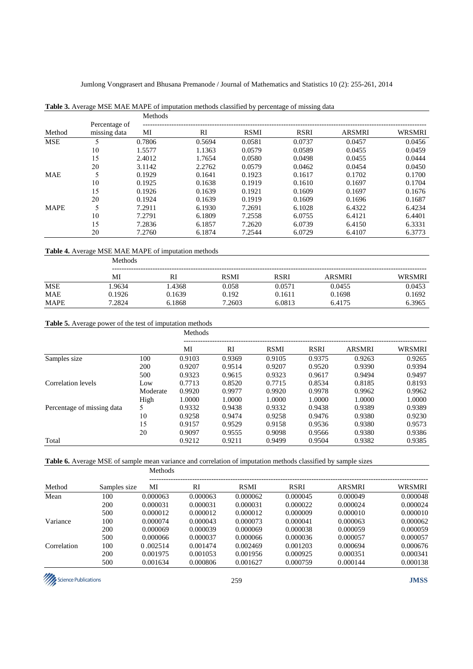|             |                               | Methods |        |             |             |               |               |
|-------------|-------------------------------|---------|--------|-------------|-------------|---------------|---------------|
| Method      | Percentage of<br>missing data | MI      | RI     | <b>RSMI</b> | <b>RSRI</b> | <b>ARSMRI</b> | <b>WRSMRI</b> |
| <b>MSE</b>  |                               | 0.7806  | 0.5694 | 0.0581      | 0.0737      | 0.0457        | 0.0456        |
|             | 10                            | 1.5577  | 1.1363 | 0.0579      | 0.0589      | 0.0455        | 0.0459        |
|             | 15                            | 2.4012  | 1.7654 | 0.0580      | 0.0498      | 0.0455        | 0.0444        |
|             | 20                            | 3.1142  | 2.2762 | 0.0579      | 0.0462      | 0.0454        | 0.0450        |
| <b>MAE</b>  | 5                             | 0.1929  | 0.1641 | 0.1923      | 0.1617      | 0.1702        | 0.1700        |
|             | 10                            | 0.1925  | 0.1638 | 0.1919      | 0.1610      | 0.1697        | 0.1704        |
|             | 15                            | 0.1926  | 0.1639 | 0.1921      | 0.1609      | 0.1697        | 0.1676        |
|             | 20                            | 0.1924  | 0.1639 | 0.1919      | 0.1609      | 0.1696        | 0.1687        |
| <b>MAPE</b> |                               | 7.2911  | 6.1930 | 7.2691      | 6.1028      | 6.4322        | 6.4234        |
|             | 10                            | 7.2791  | 6.1809 | 7.2558      | 6.0755      | 6.4121        | 6.4401        |
|             | 15                            | 7.2836  | 6.1857 | 7.2620      | 6.0739      | 6.4150        | 6.3331        |
|             | 20                            | 7.2760  | 6.1874 | 7.2544      | 6.0729      | 6.4107        | 6.3773        |

## **Table 3.** Average MSE MAE MAPE of imputation methods classified by percentage of missing data

## **Table 4.** Average MSE MAE MAPE of imputation methods

|             | <b>Methods</b> |        |             |             |        |        |  |  |  |  |
|-------------|----------------|--------|-------------|-------------|--------|--------|--|--|--|--|
|             | MI             | RI     | <b>RSMI</b> | <b>RSRI</b> | ARSMRI | WRSMRI |  |  |  |  |
| <b>MSE</b>  | .9634          | 1.4368 | 0.058       | 0.0571      | 0.0455 | 0.0453 |  |  |  |  |
| <b>MAE</b>  | 0.1926         | 0.1639 | 0.192       | 0.1611      | 0.1698 | 0.1692 |  |  |  |  |
| <b>MAPE</b> | 7.2824         | 6.1868 | 7.2603      | 6.0813      | 6.4175 | 6.3965 |  |  |  |  |

#### **Table 5.** Average power of the test of imputation methods

|                            |          | Methods |        |             |             |               |               |  |
|----------------------------|----------|---------|--------|-------------|-------------|---------------|---------------|--|
|                            |          | MI      | RI     | <b>RSMI</b> | <b>RSRI</b> | <b>ARSMRI</b> | <b>WRSMRI</b> |  |
| Samples size               | 100      | 0.9103  | 0.9369 | 0.9105      | 0.9375      | 0.9263        | 0.9265        |  |
|                            | 200      | 0.9207  | 0.9514 | 0.9207      | 0.9520      | 0.9390        | 0.9394        |  |
|                            | 500      | 0.9323  | 0.9615 | 0.9323      | 0.9617      | 0.9494        | 0.9497        |  |
| Correlation levels         | Low      | 0.7713  | 0.8520 | 0.7715      | 0.8534      | 0.8185        | 0.8193        |  |
|                            | Moderate | 0.9920  | 0.9977 | 0.9920      | 0.9978      | 0.9962        | 0.9962        |  |
|                            | High     | 1.0000  | 1.0000 | 1.0000      | 1.0000      | 1.0000        | 1.0000        |  |
| Percentage of missing data | 5        | 0.9332  | 0.9438 | 0.9332      | 0.9438      | 0.9389        | 0.9389        |  |
|                            | 10       | 0.9258  | 0.9474 | 0.9258      | 0.9476      | 0.9380        | 0.9230        |  |
|                            | 15       | 0.9157  | 0.9529 | 0.9158      | 0.9536      | 0.9380        | 0.9573        |  |
|                            | 20       | 0.9097  | 0.9555 | 0.9098      | 0.9566      | 0.9380        | 0.9386        |  |
| Total                      |          | 0.9212  | 0.9211 | 0.9499      | 0.9504      | 0.9382        | 0.9385        |  |

**Table 6.** Average MSE of sample mean variance and correlation of imputation methods classified by sample sizes Methods

| Method      | Samples size | MI       | <b>RI</b> | <b>RSMI</b> | <b>RSRI</b> | ARSMRI   | <b>WRSMRI</b> |
|-------------|--------------|----------|-----------|-------------|-------------|----------|---------------|
| Mean        | 100          | 0.000063 | 0.000063  | 0.000062    | 0.000045    | 0.000049 | 0.000048      |
|             | 200          | 0.000031 | 0.000031  | 0.000031    | 0.000022    | 0.000024 | 0.000024      |
|             | 500          | 0.000012 | 0.000012  | 0.000012    | 0.000009    | 0.000010 | 0.000010      |
| Variance    | 100          | 0.000074 | 0.000043  | 0.000073    | 0.000041    | 0.000063 | 0.000062      |
|             | 200          | 0.000069 | 0.000039  | 0.000069    | 0.000038    | 0.000059 | 0.000059      |
|             | 500          | 0.000066 | 0.000037  | 0.000066    | 0.000036    | 0.000057 | 0.000057      |
| Correlation | 100          | 0.002514 | 0.001474  | 0.002469    | 0.001203    | 0.000694 | 0.000676      |
|             | 200          | 0.001975 | 0.001053  | 0.001956    | 0.000925    | 0.000351 | 0.000341      |
|             | 500          | 0.001634 | 0.000806  | 0.001627    | 0.000759    | 0.000144 | 0.000138      |

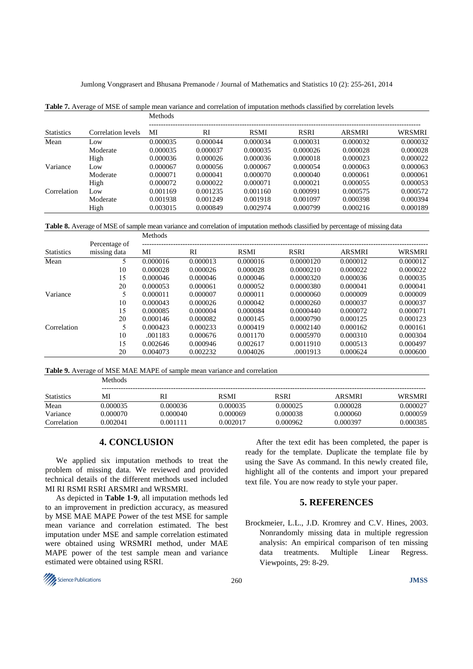|                   |                    | Methods  |          |             |             |          |          |  |  |
|-------------------|--------------------|----------|----------|-------------|-------------|----------|----------|--|--|
| <b>Statistics</b> | Correlation levels | MI       | RI       | <b>RSMI</b> | <b>RSRI</b> | ARSMRI   | WRSMRI   |  |  |
| Mean              | Low                | 0.000035 | 0.000044 | 0.000034    | 0.000031    | 0.000032 | 0.000032 |  |  |
|                   | Moderate           | 0.000035 | 0.000037 | 0.000035    | 0.000026    | 0.000028 | 0.000028 |  |  |
|                   | High               | 0.000036 | 0.000026 | 0.000036    | 0.000018    | 0.000023 | 0.000022 |  |  |
| Variance          | Low                | 0.000067 | 0.000056 | 0.000067    | 0.000054    | 0.000063 | 0.000063 |  |  |
|                   | Moderate           | 0.000071 | 0.000041 | 0.000070    | 0.000040    | 0.000061 | 0.000061 |  |  |
|                   | High               | 0.000072 | 0.000022 | 0.000071    | 0.000021    | 0.000055 | 0.000053 |  |  |
| Correlation       | Low                | 0.001169 | 0.001235 | 0.001160    | 0.000991    | 0.000575 | 0.000572 |  |  |
|                   | Moderate           | 0.001938 | 0.001249 | 0.001918    | 0.001097    | 0.000398 | 0.000394 |  |  |
|                   | High               | 0.003015 | 0.000849 | 0.002974    | 0.000799    | 0.000216 | 0.000189 |  |  |

**Table 7.** Average of MSE of sample mean variance and correlation of imputation methods classified by correlation levels

**Table 8.** Average of MSE of sample mean variance and correlation of imputation methods classified by percentage of missing data

|                   | Percentage of<br>missing data | Methods  |          |             |             |               |          |  |
|-------------------|-------------------------------|----------|----------|-------------|-------------|---------------|----------|--|
| <b>Statistics</b> |                               | МI       | RI       | <b>RSMI</b> | <b>RSRI</b> | <b>ARSMRI</b> | WRSMRI   |  |
| Mean              | 5                             | 0.000016 | 0.000013 | 0.000016    | 0.0000120   | 0.000012      | 0.000012 |  |
|                   | 10                            | 0.000028 | 0.000026 | 0.000028    | 0.0000210   | 0.000022      | 0.000022 |  |
|                   | 15                            | 0.000046 | 0.000046 | 0.000046    | 0.0000320   | 0.000036      | 0.000035 |  |
|                   | 20                            | 0.000053 | 0.000061 | 0.000052    | 0.0000380   | 0.000041      | 0.000041 |  |
| Variance          |                               | 0.000011 | 0.000007 | 0.000011    | 0.0000060   | 0.000009      | 0.000009 |  |
|                   | 10                            | 0.000043 | 0.000026 | 0.000042    | 0.0000260   | 0.000037      | 0.000037 |  |
|                   | 15                            | 0.000085 | 0.000004 | 0.000084    | 0.0000440   | 0.000072      | 0.000071 |  |
|                   | 20                            | 0.000146 | 0.000082 | 0.000145    | 0.0000790   | 0.000125      | 0.000123 |  |
| Correlation       |                               | 0.000423 | 0.000233 | 0.000419    | 0.0002140   | 0.000162      | 0.000161 |  |
|                   | 10                            | .001183  | 0.000676 | 0.001170    | 0.0005970   | 0.000310      | 0.000304 |  |
|                   | 15                            | 0.002646 | 0.000946 | 0.002617    | 0.0011910   | 0.000513      | 0.000497 |  |
|                   | 20                            | 0.004073 | 0.002232 | 0.004026    | .0001913    | 0.000624      | 0.000600 |  |

**Table 9.** Average of MSE MAE MAPE of sample mean variance and correlation

|                   | --------- |          |             |          |               |          |  |  |  |  |  |
|-------------------|-----------|----------|-------------|----------|---------------|----------|--|--|--|--|--|
| <b>Statistics</b> | MI        | RI       | <b>RSMI</b> | RSRI     | <b>ARSMRI</b> | WRSMRI   |  |  |  |  |  |
| Mean              | 0.000035  | 0.000036 | 0.000035    | 0.000025 | 0.000028      | 0.000027 |  |  |  |  |  |
| Variance          | 0.000070  | 0.000040 | 0.000069    | 0.000038 | 0.000060      | 0.000059 |  |  |  |  |  |
| Correlation       | 0.002041  | 0.001111 | 0.002017    | 0.000962 | 0.000397      | 0.000385 |  |  |  |  |  |

# **4. CONCLUSION**

**Methods** 

We applied six imputation methods to treat the problem of missing data. We reviewed and provided technical details of the different methods used included MI RI RSMI RSRI ARSMRI and WRSMRI.

As depicted in **Table 1-9**, all imputation methods led to an improvement in prediction accuracy, as measured by MSE MAE MAPE Power of the test MSE for sample mean variance and correlation estimated. The best imputation under MSE and sample correlation estimated were obtained using WRSMRI method, under MAE MAPE power of the test sample mean and variance estimated were obtained using RSRI.

After the text edit has been completed, the paper is ready for the template. Duplicate the template file by using the Save As command. In this newly created file, highlight all of the contents and import your prepared text file. You are now ready to style your paper.

## **5. REFERENCES**

Brockmeier, L.L., J.D. Kromrey and C.V. Hines, 2003. Nonrandomly missing data in multiple regression analysis: An empirical comparison of ten missing data treatments. Multiple Linear Regress. Viewpoints, 29: 8-29.